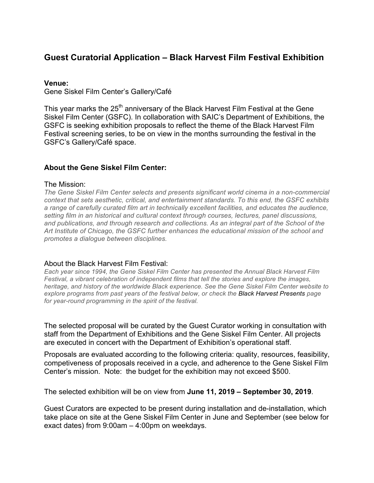# **Guest Curatorial Application – Black Harvest Film Festival Exhibition**

#### **Venue:**

Gene Siskel Film Center's Gallery/Café

This year marks the 25<sup>th</sup> anniversary of the Black Harvest Film Festival at the Gene Siskel Film Center (GSFC). In collaboration with SAIC's Department of Exhibitions, the GSFC is seeking exhibition proposals to reflect the theme of the Black Harvest Film Festival screening series, to be on view in the months surrounding the festival in the GSFC's Gallery/Café space.

### **About the Gene Siskel Film Center:**

#### The Mission:

*The Gene Siskel Film Center selects and presents significant world cinema in a non-commercial context that sets aesthetic, critical, and entertainment standards. To this end, the GSFC exhibits a range of carefully curated film art in technically excellent facilities, and educates the audience, setting film in an historical and cultural context through courses, lectures, panel discussions, and publications, and through research and collections. As an integral part of the School of the Art Institute of Chicago, the GSFC further enhances the educational mission of the school and promotes a dialogue between disciplines.*

#### About the Black Harvest Film Festival:

*Each year since 1994, the Gene Siskel Film Center has presented the Annual Black Harvest Film Festival, a vibrant celebration of independent films that tell the stories and explore the images, heritage, and history of the worldwide Black experience. See the Gene Siskel Film Center website to explore programs from past years of the festival below, or check the Black Harvest Presents page for year-round programming in the spirit of the festival.*

The selected proposal will be curated by the Guest Curator working in consultation with staff from the Department of Exhibitions and the Gene Siskel Film Center. All projects are executed in concert with the Department of Exhibition's operational staff.

Proposals are evaluated according to the following criteria: quality, resources, feasibility, competiveness of proposals received in a cycle, and adherence to the Gene Siskel Film Center's mission. Note: the budget for the exhibition may not exceed \$500.

The selected exhibition will be on view from **June 11, 2019 – September 30, 2019**.

Guest Curators are expected to be present during installation and de-installation, which take place on site at the Gene Siskel Film Center in June and September (see below for exact dates) from 9:00am – 4:00pm on weekdays.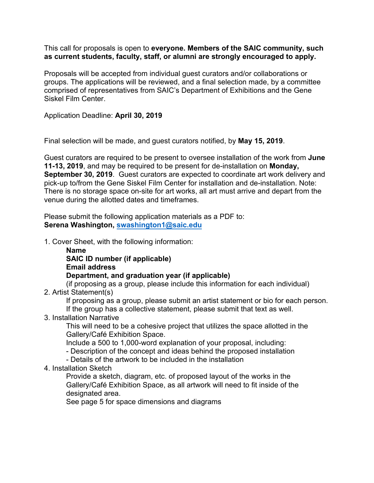This call for proposals is open to **everyone. Members of the SAIC community, such as current students, faculty, staff, or alumni are strongly encouraged to apply.** 

Proposals will be accepted from individual guest curators and/or collaborations or groups. The applications will be reviewed, and a final selection made, by a committee comprised of representatives from SAIC's Department of Exhibitions and the Gene Siskel Film Center.

Application Deadline: **April 30, 2019**

Final selection will be made, and guest curators notified, by **May 15, 2019**.

Guest curators are required to be present to oversee installation of the work from **June 11-13, 2019**, and may be required to be present for de-installation on **Monday, September 30, 2019**. Guest curators are expected to coordinate art work delivery and pick-up to/from the Gene Siskel Film Center for installation and de-installation. Note: There is no storage space on-site for art works, all art must arrive and depart from the venue during the allotted dates and timeframes.

Please submit the following application materials as a PDF to: **Serena Washington, swashington1@saic.edu**

1. Cover Sheet, with the following information:

**Name SAIC ID number (if applicable) Email address Department, and graduation year (if applicable)**  (if proposing as a group, please include this information for each individual)

2. Artist Statement(s)

If proposing as a group, please submit an artist statement or bio for each person. If the group has a collective statement, please submit that text as well.

3. Installation Narrative

This will need to be a cohesive project that utilizes the space allotted in the Gallery/Café Exhibition Space.

Include a 500 to 1,000-word explanation of your proposal, including:

- Description of the concept and ideas behind the proposed installation

- Details of the artwork to be included in the installation
- 4. Installation Sketch

Provide a sketch, diagram, etc. of proposed layout of the works in the Gallery/Café Exhibition Space, as all artwork will need to fit inside of the designated area.

See page 5 for space dimensions and diagrams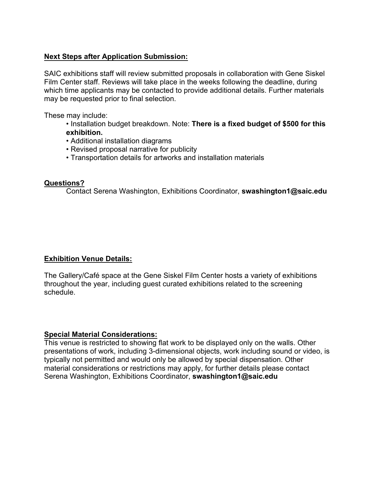## **Next Steps after Application Submission:**

SAIC exhibitions staff will review submitted proposals in collaboration with Gene Siskel Film Center staff. Reviews will take place in the weeks following the deadline, during which time applicants may be contacted to provide additional details. Further materials may be requested prior to final selection.

These may include:

- Installation budget breakdown. Note: **There is a fixed budget of \$500 for this exhibition.**
- Additional installation diagrams
- Revised proposal narrative for publicity
- Transportation details for artworks and installation materials

### **Questions?**

Contact Serena Washington, Exhibitions Coordinator, **swashington1@saic.edu**

# **Exhibition Venue Details:**

The Gallery/Café space at the Gene Siskel Film Center hosts a variety of exhibitions throughout the year, including guest curated exhibitions related to the screening schedule.

### **Special Material Considerations:**

This venue is restricted to showing flat work to be displayed only on the walls. Other presentations of work, including 3-dimensional objects, work including sound or video, is typically not permitted and would only be allowed by special dispensation. Other material considerations or restrictions may apply, for further details please contact Serena Washington, Exhibitions Coordinator, **swashington1@saic.edu**